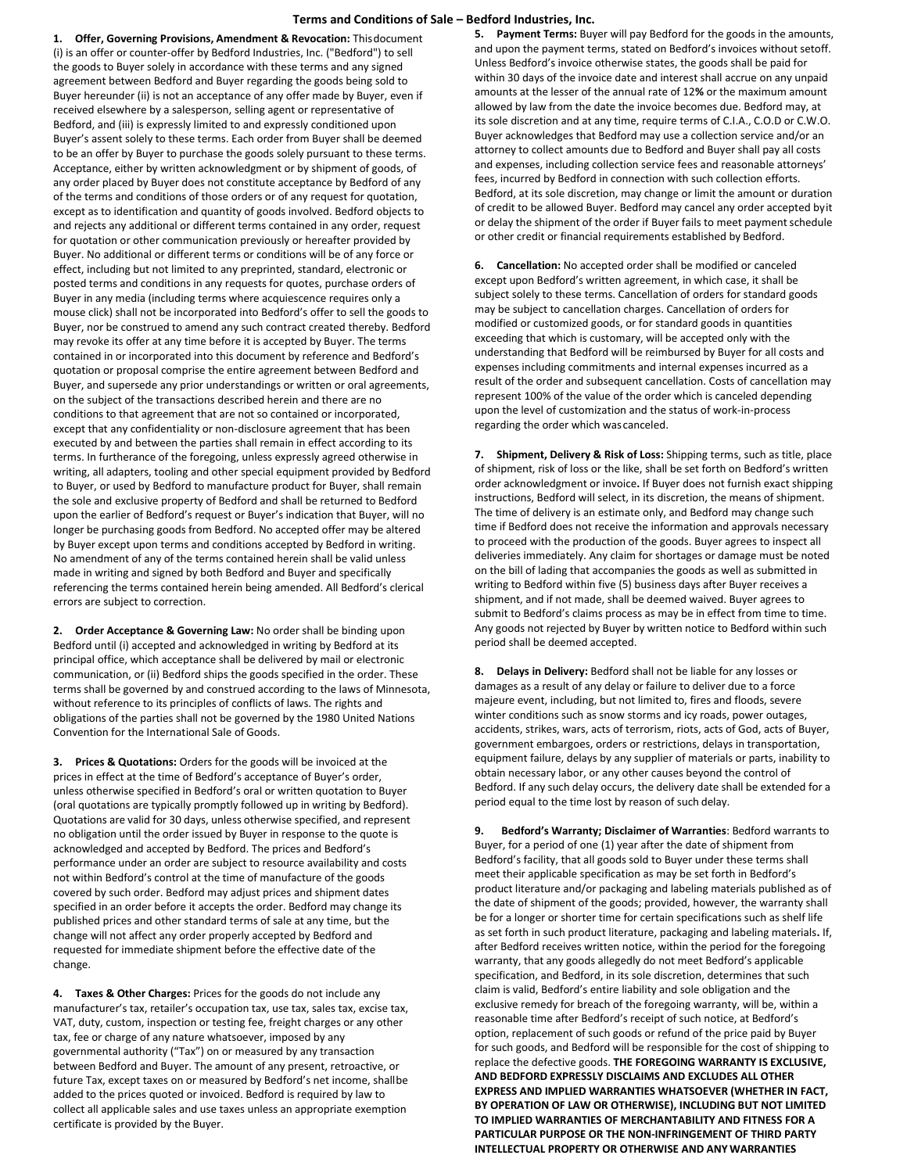## **Terms and Conditions of Sale – Bedford Industries, Inc.**

**1. Offer, Governing Provisions, Amendment & Revocation:** Thisdocument (i) is an offer or counter-offer by Bedford Industries, Inc. ("Bedford") to sell the goods to Buyer solely in accordance with these terms and any signed agreement between Bedford and Buyer regarding the goods being sold to Buyer hereunder (ii) is not an acceptance of any offer made by Buyer, even if received elsewhere by a salesperson, selling agent or representative of Bedford, and (iii) is expressly limited to and expressly conditioned upon Buyer's assent solely to these terms. Each order from Buyer shall be deemed to be an offer by Buyer to purchase the goods solely pursuant to these terms. Acceptance, either by written acknowledgment or by shipment of goods, of any order placed by Buyer does not constitute acceptance by Bedford of any of the terms and conditions of those orders or of any request for quotation, except as to identification and quantity of goods involved. Bedford objects to and rejects any additional or different terms contained in any order, request for quotation or other communication previously or hereafter provided by Buyer. No additional or different terms or conditions will be of any force or effect, including but not limited to any preprinted, standard, electronic or posted terms and conditions in any requests for quotes, purchase orders of Buyer in any media (including terms where acquiescence requires only a mouse click) shall not be incorporated into Bedford's offer to sell the goods to Buyer, nor be construed to amend any such contract created thereby. Bedford may revoke its offer at any time before it is accepted by Buyer. The terms contained in or incorporated into this document by reference and Bedford's quotation or proposal comprise the entire agreement between Bedford and Buyer, and supersede any prior understandings or written or oral agreements, on the subject of the transactions described herein and there are no conditions to that agreement that are not so contained or incorporated, except that any confidentiality or non-disclosure agreement that has been executed by and between the parties shall remain in effect according to its terms. In furtherance of the foregoing, unless expressly agreed otherwise in writing, all adapters, tooling and other special equipment provided by Bedford to Buyer, or used by Bedford to manufacture product for Buyer, shall remain the sole and exclusive property of Bedford and shall be returned to Bedford upon the earlier of Bedford's request or Buyer's indication that Buyer, will no longer be purchasing goods from Bedford. No accepted offer may be altered by Buyer except upon terms and conditions accepted by Bedford in writing. No amendment of any of the terms contained herein shall be valid unless made in writing and signed by both Bedford and Buyer and specifically referencing the terms contained herein being amended. All Bedford's clerical errors are subject to correction.

**2. Order Acceptance & Governing Law:** No order shall be binding upon Bedford until (i) accepted and acknowledged in writing by Bedford at its principal office, which acceptance shall be delivered by mail or electronic communication, or (ii) Bedford ships the goods specified in the order. These terms shall be governed by and construed according to the laws of Minnesota, without reference to its principles of conflicts of laws. The rights and obligations of the parties shall not be governed by the 1980 United Nations Convention for the International Sale of Goods.

**3. Prices & Quotations:** Orders for the goods will be invoiced at the prices in effect at the time of Bedford's acceptance of Buyer's order, unless otherwise specified in Bedford's oral or written quotation to Buyer (oral quotations are typically promptly followed up in writing by Bedford). Quotations are valid for 30 days, unless otherwise specified, and represent no obligation until the order issued by Buyer in response to the quote is acknowledged and accepted by Bedford. The prices and Bedford's performance under an order are subject to resource availability and costs not within Bedford's control at the time of manufacture of the goods covered by such order. Bedford may adjust prices and shipment dates specified in an order before it accepts the order. Bedford may change its published prices and other standard terms of sale at any time, but the change will not affect any order properly accepted by Bedford and requested for immediate shipment before the effective date of the change.

**4. Taxes & Other Charges:** Prices for the goods do not include any manufacturer's tax, retailer's occupation tax, use tax, sales tax, excise tax, VAT, duty, custom, inspection or testing fee, freight charges or any other tax, fee or charge of any nature whatsoever, imposed by any governmental authority ("Tax") on or measured by any transaction between Bedford and Buyer. The amount of any present, retroactive, or future Tax, except taxes on or measured by Bedford's net income, shallbe added to the prices quoted or invoiced. Bedford is required by law to collect all applicable sales and use taxes unless an appropriate exemption certificate is provided by the Buyer.

**5. Payment Terms:** Buyer will pay Bedford for the goods in the amounts, and upon the payment terms, stated on Bedford's invoices without setoff. Unless Bedford's invoice otherwise states, the goods shall be paid for within 30 days of the invoice date and interest shall accrue on any unpaid amounts at the lesser of the annual rate of 12**%** or the maximum amount allowed by law from the date the invoice becomes due. Bedford may, at its sole discretion and at any time, require terms of C.I.A., C.O.D or C.W.O. Buyer acknowledges that Bedford may use a collection service and/or an attorney to collect amounts due to Bedford and Buyer shall pay all costs and expenses, including collection service fees and reasonable attorneys' fees, incurred by Bedford in connection with such collection efforts. Bedford, at its sole discretion, may change or limit the amount or duration of credit to be allowed Buyer. Bedford may cancel any order accepted byit or delay the shipment of the order if Buyer fails to meet payment schedule or other credit or financial requirements established by Bedford.

**6. Cancellation:** No accepted order shall be modified or canceled except upon Bedford's written agreement, in which case, it shall be subject solely to these terms. Cancellation of orders for standard goods may be subject to cancellation charges. Cancellation of orders for modified or customized goods, or for standard goods in quantities exceeding that which is customary, will be accepted only with the understanding that Bedford will be reimbursed by Buyer for all costs and expenses including commitments and internal expenses incurred as a result of the order and subsequent cancellation. Costs of cancellation may represent 100% of the value of the order which is canceled depending upon the level of customization and the status of work-in-process regarding the order which was canceled.

**7. Shipment, Delivery & Risk of Loss:** Shipping terms, such as title, place of shipment, risk of loss or the like, shall be set forth on Bedford's written order acknowledgment or invoice**.** If Buyer does not furnish exact shipping instructions, Bedford will select, in its discretion, the means of shipment. The time of delivery is an estimate only, and Bedford may change such time if Bedford does not receive the information and approvals necessary to proceed with the production of the goods. Buyer agrees to inspect all deliveries immediately. Any claim for shortages or damage must be noted on the bill of lading that accompanies the goods as well as submitted in writing to Bedford within five (5) business days after Buyer receives a shipment, and if not made, shall be deemed waived. Buyer agrees to submit to Bedford's claims process as may be in effect from time to time. Any goods not rejected by Buyer by written notice to Bedford within such period shall be deemed accepted.

**8. Delays in Delivery:** Bedford shall not be liable for any losses or damages as a result of any delay or failure to deliver due to a force majeure event, including, but not limited to, fires and floods, severe winter conditions such as snow storms and icy roads, power outages, accidents, strikes, wars, acts of terrorism, riots, acts of God, acts of Buyer, government embargoes, orders or restrictions, delays in transportation, equipment failure, delays by any supplier of materials or parts, inability to obtain necessary labor, or any other causes beyond the control of Bedford. If any such delay occurs, the delivery date shall be extended for a period equal to the time lost by reason of such delay.

**9. Bedford's Warranty; Disclaimer of Warranties**: Bedford warrants to Buyer, for a period of one (1) year after the date of shipment from Bedford's facility, that all goods sold to Buyer under these terms shall meet their applicable specification as may be set forth in Bedford's product literature and/or packaging and labeling materials published as of the date of shipment of the goods; provided, however, the warranty shall be for a longer or shorter time for certain specifications such as shelf life as set forth in such product literature, packaging and labeling materials**.** If, after Bedford receives written notice, within the period for the foregoing warranty, that any goods allegedly do not meet Bedford's applicable specification, and Bedford, in its sole discretion, determines that such claim is valid, Bedford's entire liability and sole obligation and the exclusive remedy for breach of the foregoing warranty, will be, within a reasonable time after Bedford's receipt of such notice, at Bedford's option, replacement of such goods or refund of the price paid by Buyer for such goods, and Bedford will be responsible for the cost of shipping to replace the defective goods. **THE FOREGOING WARRANTY IS EXCLUSIVE, AND BEDFORD EXPRESSLY DISCLAIMS AND EXCLUDES ALL OTHER EXPRESS AND IMPLIED WARRANTIES WHATSOEVER (WHETHER IN FACT, BY OPERATION OF LAW OR OTHERWISE), INCLUDING BUT NOT LIMITED TO IMPLIED WARRANTIES OF MERCHANTABILITY AND FITNESS FOR A PARTICULAR PURPOSE OR THE NON-INFRINGEMENT OF THIRD PARTY INTELLECTUAL PROPERTY OR OTHERWISE AND ANY WARRANTIES**